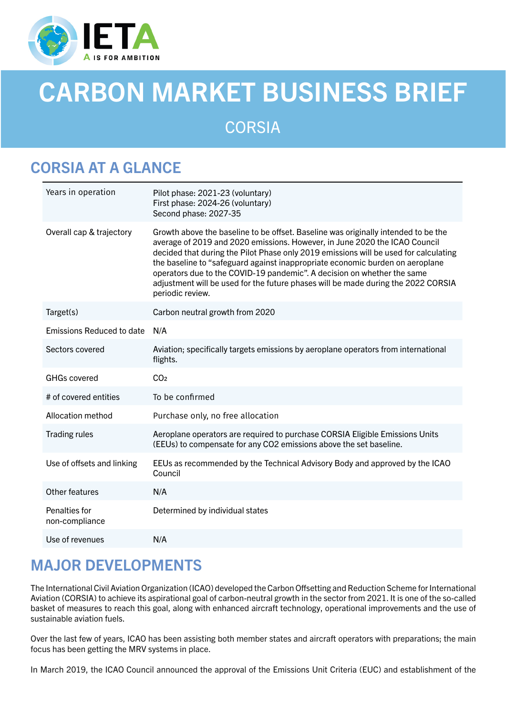

# CARBON MARKET BUSINESS BRIEF

**CORSIA** 

## CORSIA AT A GLANCE

| Years in operation              | Pilot phase: 2021-23 (voluntary)<br>First phase: 2024-26 (voluntary)<br>Second phase: 2027-35                                                                                                                                                                                                                                                                                                                                                                                                                                 |
|---------------------------------|-------------------------------------------------------------------------------------------------------------------------------------------------------------------------------------------------------------------------------------------------------------------------------------------------------------------------------------------------------------------------------------------------------------------------------------------------------------------------------------------------------------------------------|
| Overall cap & trajectory        | Growth above the baseline to be offset. Baseline was originally intended to be the<br>average of 2019 and 2020 emissions. However, in June 2020 the ICAO Council<br>decided that during the Pilot Phase only 2019 emissions will be used for calculating<br>the baseline to "safeguard against inappropriate economic burden on aeroplane<br>operators due to the COVID-19 pandemic". A decision on whether the same<br>adjustment will be used for the future phases will be made during the 2022 CORSIA<br>periodic review. |
| Target(s)                       | Carbon neutral growth from 2020                                                                                                                                                                                                                                                                                                                                                                                                                                                                                               |
| Emissions Reduced to date       | N/A                                                                                                                                                                                                                                                                                                                                                                                                                                                                                                                           |
| Sectors covered                 | Aviation; specifically targets emissions by aeroplane operators from international<br>flights.                                                                                                                                                                                                                                                                                                                                                                                                                                |
| <b>GHGs covered</b>             | CO <sub>2</sub>                                                                                                                                                                                                                                                                                                                                                                                                                                                                                                               |
| # of covered entities           | To be confirmed                                                                                                                                                                                                                                                                                                                                                                                                                                                                                                               |
| Allocation method               | Purchase only, no free allocation                                                                                                                                                                                                                                                                                                                                                                                                                                                                                             |
| <b>Trading rules</b>            | Aeroplane operators are required to purchase CORSIA Eligible Emissions Units<br>(EEUs) to compensate for any CO2 emissions above the set baseline.                                                                                                                                                                                                                                                                                                                                                                            |
| Use of offsets and linking      | EEUs as recommended by the Technical Advisory Body and approved by the ICAO<br>Council                                                                                                                                                                                                                                                                                                                                                                                                                                        |
| Other features                  | N/A                                                                                                                                                                                                                                                                                                                                                                                                                                                                                                                           |
| Penalties for<br>non-compliance | Determined by individual states                                                                                                                                                                                                                                                                                                                                                                                                                                                                                               |
| Use of revenues                 | N/A                                                                                                                                                                                                                                                                                                                                                                                                                                                                                                                           |

### MAJOR DEVELOPMENTS

The International Civil Aviation Organization (ICAO) developed the Carbon Offsetting and Reduction Scheme for International Aviation (CORSIA) to achieve its aspirational goal of carbon-neutral growth in the sector from 2021. It is one of the so-called basket of measures to reach this goal, along with enhanced aircraft technology, operational improvements and the use of sustainable aviation fuels.

Over the last few of years, ICAO has been assisting both member states and aircraft operators with preparations; the main focus has been getting the MRV systems in place.

In March 2019, the ICAO Council announced the approval of the Emissions Unit Criteria (EUC) and establishment of the